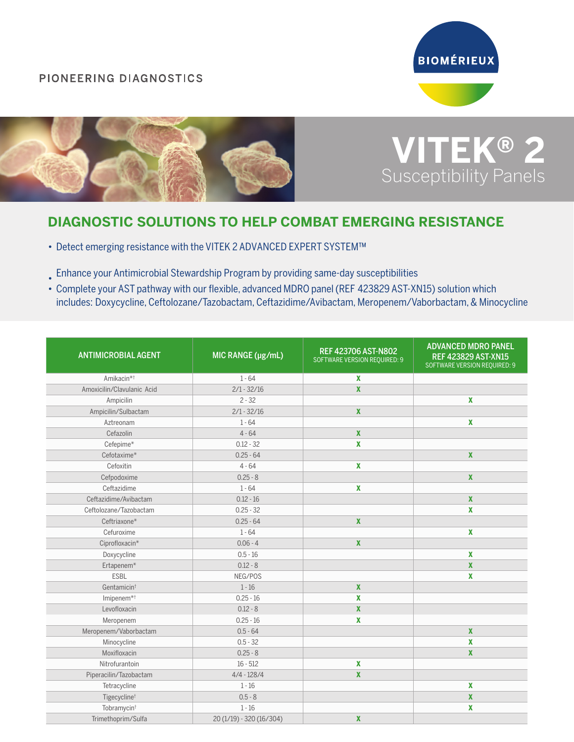## PIONEERING DIAGNOSTICS





## **VITEK® 2** Susceptibility Panels

## **DIAGNOSTIC SOLUTIONS TO HELP COMBAT EMERGING RESISTANCE**

- Detect emerging resistance with the VITEK 2 ADVANCED EXPERT SYSTEM™
- Enhance your Antimicrobial Stewardship Program by providing same-day susceptibilities
- Complete your AST pathway with our flexible, advanced MDRO panel (REF 423829 AST-XN15) solution which includes: Doxycycline, Ceftolozane/Tazobactam, Ceftazidime/Avibactam, Meropenem/Vaborbactam, & Minocycline

| <b>ANTIMICROBIAL AGENT</b> | MIC RANGE (µg/mL)        | REF 423706 AST-N802<br>SOFTWARE VERSION REQUIRED: 9 | <b>ADVANCED MDRO PANEL</b><br><b>REF 423829 AST-XN15</b><br><b>SOFTWARE VERSION REQUIRED: 9</b> |
|----------------------------|--------------------------|-----------------------------------------------------|-------------------------------------------------------------------------------------------------|
| Amikacin <sup>*+</sup>     | $1 - 64$                 | $\mathbf x$                                         |                                                                                                 |
| Amoxicilin/Clavulanic Acid | $2/1 - 32/16$            | $\pmb{\chi}$                                        |                                                                                                 |
| Ampicilin                  | $2 - 32$                 |                                                     | $\mathbf x$                                                                                     |
| Ampicilin/Sulbactam        | $2/1 - 32/16$            | $\mathbf x$                                         |                                                                                                 |
| Aztreonam                  | $1 - 64$                 |                                                     | $\mathbf{x}$                                                                                    |
| Cefazolin                  | $4 - 64$                 | $\pmb{\chi}$                                        |                                                                                                 |
| Cefepime*                  | $0.12 - 32$              | $\pmb{\chi}$                                        |                                                                                                 |
| Cefotaxime*                | $0.25 - 64$              |                                                     | $\mathbf{x}$                                                                                    |
| Cefoxitin                  | $4 - 64$                 | $\boldsymbol{\mathsf{X}}$                           |                                                                                                 |
| Cefpodoxime                | $0.25 - 8$               |                                                     | $\pmb{\chi}$                                                                                    |
| Ceftazidime                | $1 - 64$                 | $\pmb{\chi}$                                        |                                                                                                 |
| Ceftazidime/Avibactam      | $0.12 - 16$              |                                                     | $\pmb{\chi}$                                                                                    |
| Ceftolozane/Tazobactam     | $0.25 - 32$              |                                                     | $\mathbf{x}$                                                                                    |
| Ceftriaxone*               | $0.25 - 64$              | $\pmb{\chi}$                                        |                                                                                                 |
| Cefuroxime                 | $1 - 64$                 |                                                     | $\pmb{\chi}$                                                                                    |
| Ciprofloxacin*             | $0.06 - 4$               | $\pmb{\chi}$                                        |                                                                                                 |
| Doxycycline                | $0.5 - 16$               |                                                     | $\mathbf x$                                                                                     |
| Ertapenem*                 | $0.12 - 8$               |                                                     | $\mathbf x$                                                                                     |
| <b>ESBL</b>                | NEG/POS                  |                                                     | $\mathbf x$                                                                                     |
| Gentamicin <sup>t</sup>    | $1 - 16$                 | $\boldsymbol{x}$                                    |                                                                                                 |
| Imipenem <sup>*+</sup>     | $0.25 - 16$              | X                                                   |                                                                                                 |
| Levofloxacin               | $0.12 - 8$               | $\pmb{\chi}$                                        |                                                                                                 |
| Meropenem                  | $0.25 - 16$              | $\boldsymbol{\mathsf{X}}$                           |                                                                                                 |
| Meropenem/Vaborbactam      | $0.5 - 64$               |                                                     | $\pmb{\chi}$                                                                                    |
| Minocycline                | $0.5 - 32$               |                                                     | X                                                                                               |
| Moxifloxacin               | $0.25 - 8$               |                                                     | $\mathbf{x}$                                                                                    |
| Nitrofurantoin             | $16 - 512$               | X                                                   |                                                                                                 |
| Piperacilin/Tazobactam     | $4/4 - 128/4$            | $\pmb{\chi}$                                        |                                                                                                 |
| Tetracycline               | $1 - 16$                 |                                                     | $\pmb{\mathsf{X}}$                                                                              |
| Tigecycline <sup>t</sup>   | $0.5 - 8$                |                                                     | $\pmb{\chi}$                                                                                    |
| Tobramycin <sup>+</sup>    | $1 - 16$                 |                                                     | $\pmb{\mathsf{X}}$                                                                              |
| Trimethoprim/Sulfa         | 20 (1/19) - 320 (16/304) | $\boldsymbol{x}$                                    |                                                                                                 |